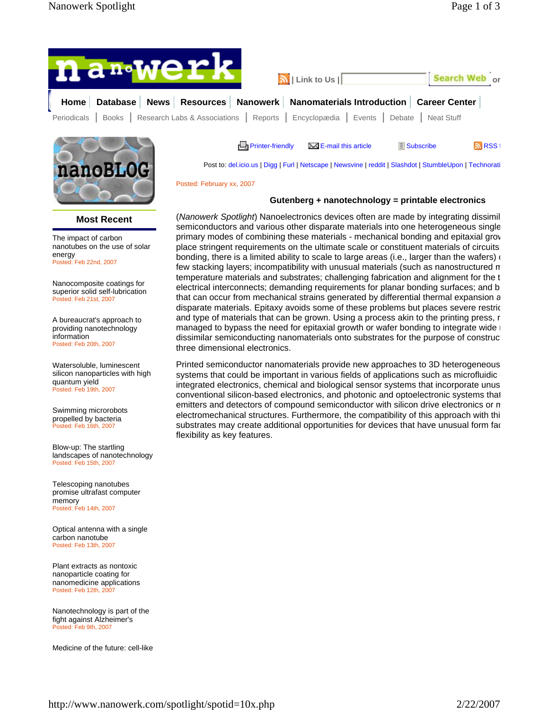



**Most Recent** 

The impact of carbon nanotubes on the use of solar energy Posted: Feb 22nd, 2007

Nanocomposite coatings for superior solid self-lubrication Posted: Feb 21st, 2007

A bureaucrat's approach to providing nanotechnology information Posted: Feb 20th, 2007

Watersoluble, luminescent silicon nanoparticles with high quantum yield Posted: Feb 19th, 2007

Swimming microrobots propelled by bacteria Posted: Feb 16th, 2007

Blow-up: The startling landscapes of nanotechnology Posted: Feb 15th, 2007

Telescoping nanotubes promise ultrafast computer memory Posted: Feb 14th, 2007

Optical antenna with a single carbon nanotube Posted: Feb 13th, 2007

Plant extracts as nontoxic nanoparticle coating for nanomedicine applications Posted: Feb 12th, 2007

Nanotechnology is part of the fight against Alzheimer's Posted: Feb 9th, 2007

Medicine of the future: cell-like

**E**, Printer-friendly  $\overline{\phantom{a}}$  E-mail this article  $\overline{\phantom{a}}$  Subscribe RSS f

Post to: del.icio.us | Digg | Furl | Netscape | Newsvine | reddit | Slashdot | StumbleUpon | Technorati

Posted: February xx, 2007

## **Gutenberg + nanotechnology = printable electronics**

(*Nanowerk Spotlight*) Nanoelectronics devices often are made by integrating dissimil semiconductors and various other disparate materials into one heterogeneous single primary modes of combining these materials - mechanical bonding and epitaxial grow place stringent requirements on the ultimate scale or constituent materials of circuits. bonding, there is a limited ability to scale to large areas (i.e., larger than the wafers)  $\alpha$ few stacking layers; incompatibility with unusual materials (such as nanostructured m temperature materials and substrates; challenging fabrication and alignment for the t electrical interconnects; demanding requirements for planar bonding surfaces; and b that can occur from mechanical strains generated by differential thermal expansion a disparate materials. Epitaxy avoids some of these problems but places severe restric and type of materials that can be grown. Using a process akin to the printing press, r managed to bypass the need for epitaxial growth or wafer bonding to integrate wide r dissimilar semiconducting nanomaterials onto substrates for the purpose of construct three dimensional electronics.

Printed semiconductor nanomaterials provide new approaches to 3D heterogeneous systems that could be important in various fields of applications such as microfluidic integrated electronics, chemical and biological sensor systems that incorporate unus conventional silicon-based electronics, and photonic and optoelectronic systems that emitters and detectors of compound semiconductor with silicon drive electronics or m electromechanical structures. Furthermore, the compatibility of this approach with thi substrates may create additional opportunities for devices that have unusual form fac flexibility as key features.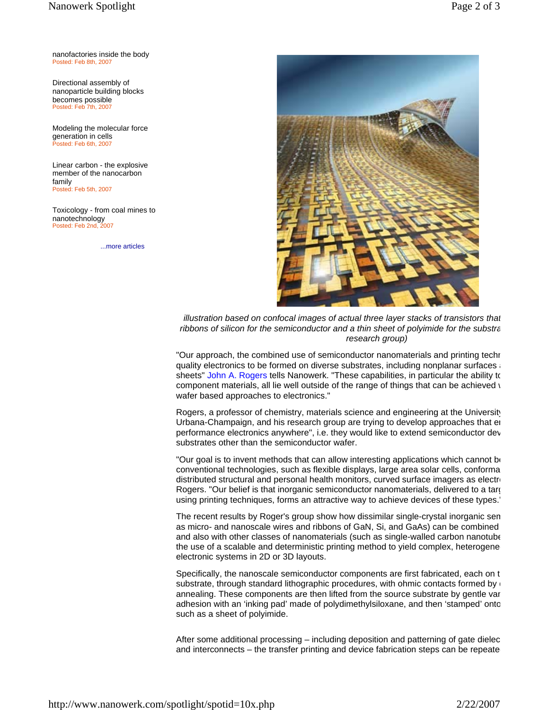nanofactories inside the body Posted: Feb 8th, 2007

Directional assembly of nanoparticle building blocks becomes possible Posted: Feb 7th, 2007

Modeling the molecular force generation in cells Posted: Feb 6th, 2007

Linear carbon - the explosive member of the nanocarbon family Posted: Feb 5th, 2007

Toxicology - from coal mines to nanotechnology<br>Posted: Eeb 2nd, 2007 Posted: Feb 2nd,

...more articles



*illustration based on confocal images of actual three layer stacks of transistors that ribbons of silicon for the semiconductor and a thin sheet of polyimide for the substra research group)* 

"Our approach, the combined use of semiconductor nanomaterials and printing techn quality electronics to be formed on diverse substrates, including nonplanar surfaces a sheets" John A. Rogers tells Nanowerk. "These capabilities, in particular the ability to component materials, all lie well outside of the range of things that can be achieved  $\iota$ wafer based approaches to electronics."

Rogers, a professor of chemistry, materials science and engineering at the University Urbana-Champaign, and his research group are trying to develop approaches that en performance electronics anywhere", i.e. they would like to extend semiconductor dev substrates other than the semiconductor wafer.

"Our goal is to invent methods that can allow interesting applications which cannot be conventional technologies, such as flexible displays, large area solar cells, conforma  $distributed$  structural and personal health monitors, curved surface imagers as electron-Rogers. "Our belief is that inorganic semiconductor nanomaterials, delivered to a targ using printing techniques, forms an attractive way to achieve devices of these types."

The recent results by Roger's group show how dissimilar single-crystal inorganic sem as micro- and nanoscale wires and ribbons of GaN, Si, and GaAs) can be combined and also with other classes of nanomaterials (such as single-walled carbon nanotube the use of a scalable and deterministic printing method to yield complex, heterogene electronic systems in 2D or 3D layouts.

Specifically, the nanoscale semiconductor components are first fabricated, each on t substrate, through standard lithographic procedures, with ohmic contacts formed by annealing. These components are then lifted from the source substrate by gentle van adhesion with an 'inking pad' made of polydimethylsiloxane, and then 'stamped' onto such as a sheet of polyimide.

After some additional processing – including deposition and patterning of gate dielec and interconnects – the transfer printing and device fabrication steps can be repeate